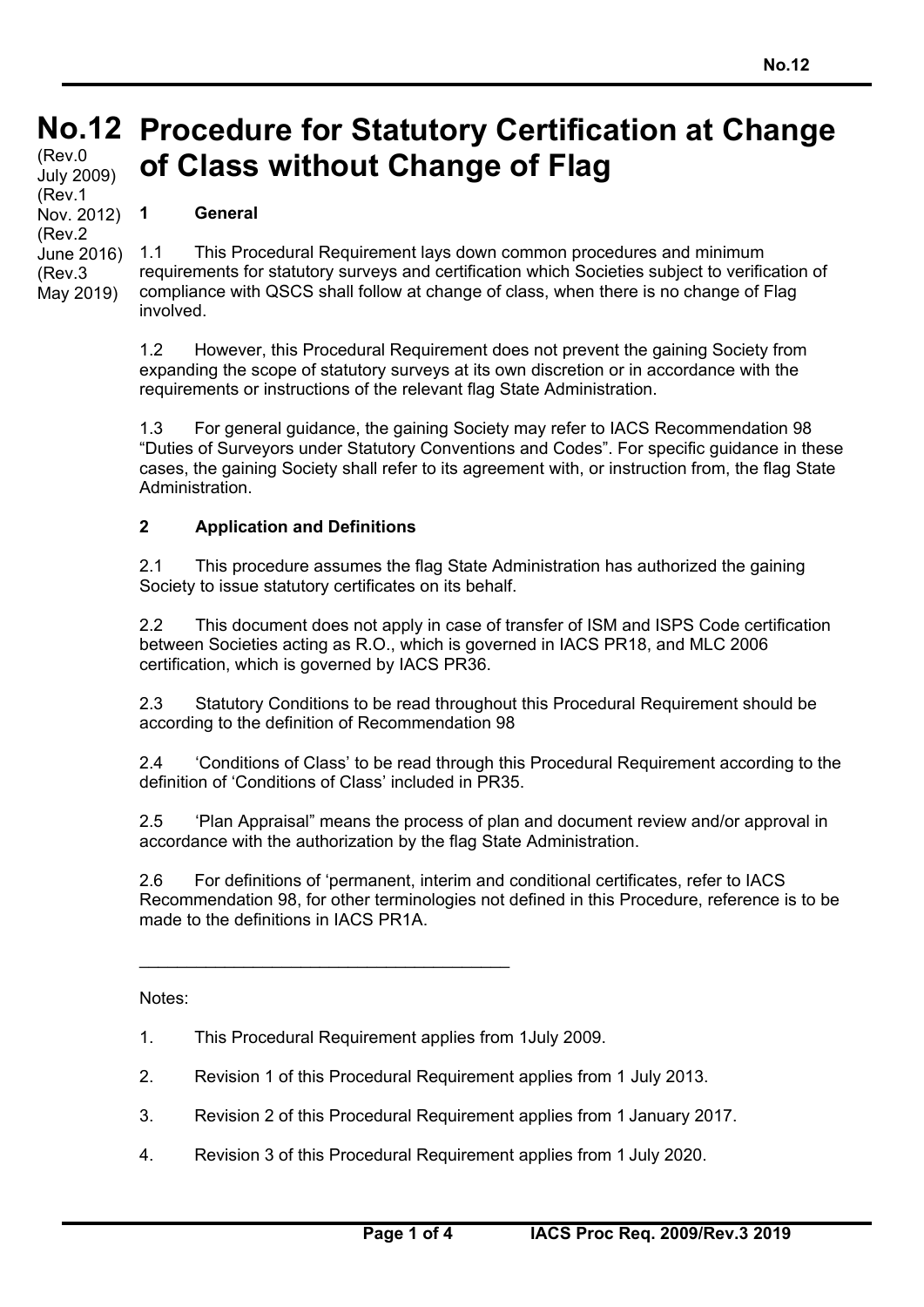#### **No.12 Procedure for Statutory Certification at Change No.12**  (Rev.0 **of Class without Change of Flag**  July 2009) (Rev.1

**1 General** 

Nov. 2012) (Rev.2 June 2016) (Rev.3 May 2019)

1.1 This Procedural Requirement lays down common procedures and minimum requirements for statutory surveys and certification which Societies subject to verification of compliance with QSCS shall follow at change of class, when there is no change of Flag involved.

1.2 However, this Procedural Requirement does not prevent the gaining Society from expanding the scope of statutory surveys at its own discretion or in accordance with the requirements or instructions of the relevant flag State Administration.

1.3 For general guidance, the gaining Society may refer to IACS Recommendation 98 "Duties of Surveyors under Statutory Conventions and Codes". For specific guidance in these cases, the gaining Society shall refer to its agreement with, or instruction from, the flag State Administration.

### **2 Application and Definitions**

2.1 This procedure assumes the flag State Administration has authorized the gaining Society to issue statutory certificates on its behalf.

2.2 This document does not apply in case of transfer of ISM and ISPS Code certification between Societies acting as R.O., which is governed in IACS PR18, and MLC 2006 certification, which is governed by IACS PR36.

2.3 Statutory Conditions to be read throughout this Procedural Requirement should be according to the definition of Recommendation 98

2.4 'Conditions of Class' to be read through this Procedural Requirement according to the definition of 'Conditions of Class' included in PR35.

2.5 'Plan Appraisal" means the process of plan and document review and/or approval in accordance with the authorization by the flag State Administration.

2.6 For definitions of 'permanent, interim and conditional certificates, refer to IACS Recommendation 98, for other terminologies not defined in this Procedure, reference is to be made to the definitions in IACS PR1A.

Notes:

1. This Procedural Requirement applies from 1July 2009.

 $\mathcal{L}_\text{max}$  and  $\mathcal{L}_\text{max}$  and  $\mathcal{L}_\text{max}$  and  $\mathcal{L}_\text{max}$ 

- 2. Revision 1 of this Procedural Requirement applies from 1 July 2013.
- 3. Revision 2 of this Procedural Requirement applies from 1 January 2017.
- 4. Revision 3 of this Procedural Requirement applies from 1 July 2020.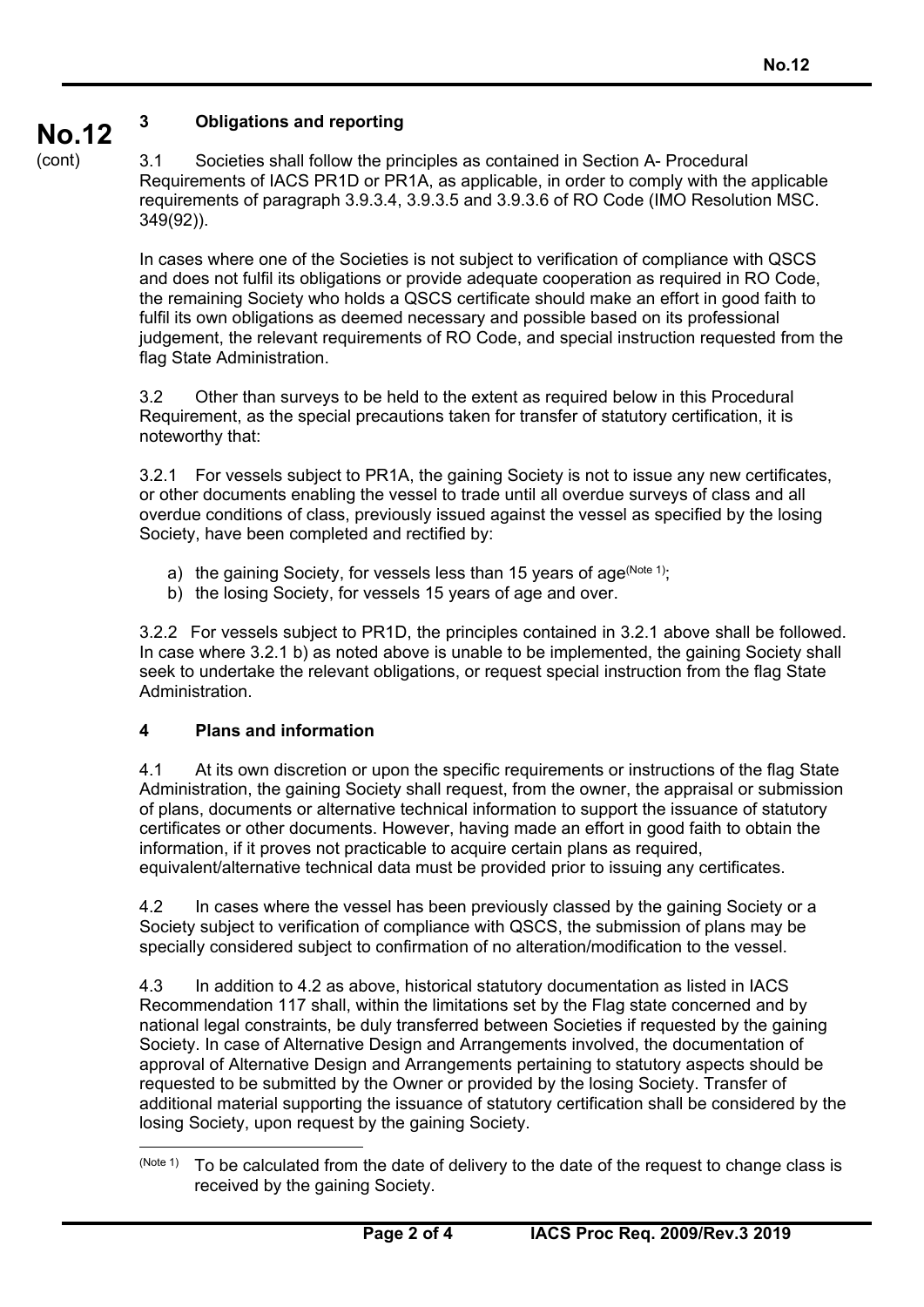#### **No.12 3 Obligations and reporting**

(cont)

3.1 Societies shall follow the principles as contained in Section A- Procedural Requirements of IACS PR1D or PR1A, as applicable, in order to comply with the applicable requirements of paragraph 3.9.3.4, 3.9.3.5 and 3.9.3.6 of RO Code (IMO Resolution MSC. 349(92)).

In cases where one of the Societies is not subject to verification of compliance with QSCS and does not fulfil its obligations or provide adequate cooperation as required in RO Code, the remaining Society who holds a QSCS certificate should make an effort in good faith to fulfil its own obligations as deemed necessary and possible based on its professional judgement, the relevant requirements of RO Code, and special instruction requested from the flag State Administration.

3.2 Other than surveys to be held to the extent as required below in this Procedural Requirement, as the special precautions taken for transfer of statutory certification, it is noteworthy that:

3.2.1 For vessels subject to PR1A, the gaining Society is not to issue any new certificates, or other documents enabling the vessel to trade until all overdue surveys of class and all overdue conditions of class, previously issued against the vessel as specified by the losing Society, have been completed and rectified by:

- a) the gaining Society, for vessels less than 15 years of age  $(N^{old 1})$ ;
- b) the losing Society, for vessels 15 years of age and over.

3.2.2 For vessels subject to PR1D, the principles contained in 3.2.1 above shall be followed. In case where 3.2.1 b) as noted above is unable to be implemented, the gaining Society shall seek to undertake the relevant obligations, or request special instruction from the flag State Administration.

# **4 Plans and information**

4.1 At its own discretion or upon the specific requirements or instructions of the flag State Administration, the gaining Society shall request, from the owner, the appraisal or submission of plans, documents or alternative technical information to support the issuance of statutory certificates or other documents. However, having made an effort in good faith to obtain the information, if it proves not practicable to acquire certain plans as required, equivalent/alternative technical data must be provided prior to issuing any certificates.

4.2 In cases where the vessel has been previously classed by the gaining Society or a Society subject to verification of compliance with QSCS, the submission of plans may be specially considered subject to confirmation of no alteration/modification to the vessel.

4.3 In addition to 4.2 as above, historical statutory documentation as listed in IACS Recommendation 117 shall, within the limitations set by the Flag state concerned and by national legal constraints, be duly transferred between Societies if requested by the gaining Society. In case of Alternative Design and Arrangements involved, the documentation of approval of Alternative Design and Arrangements pertaining to statutory aspects should be requested to be submitted by the Owner or provided by the losing Society. Transfer of additional material supporting the issuance of statutory certification shall be considered by the losing Society, upon request by the gaining Society.

 $\overline{a}$  $(N^{Oote 1)}$  To be calculated from the date of delivery to the date of the request to change class is received by the gaining Society.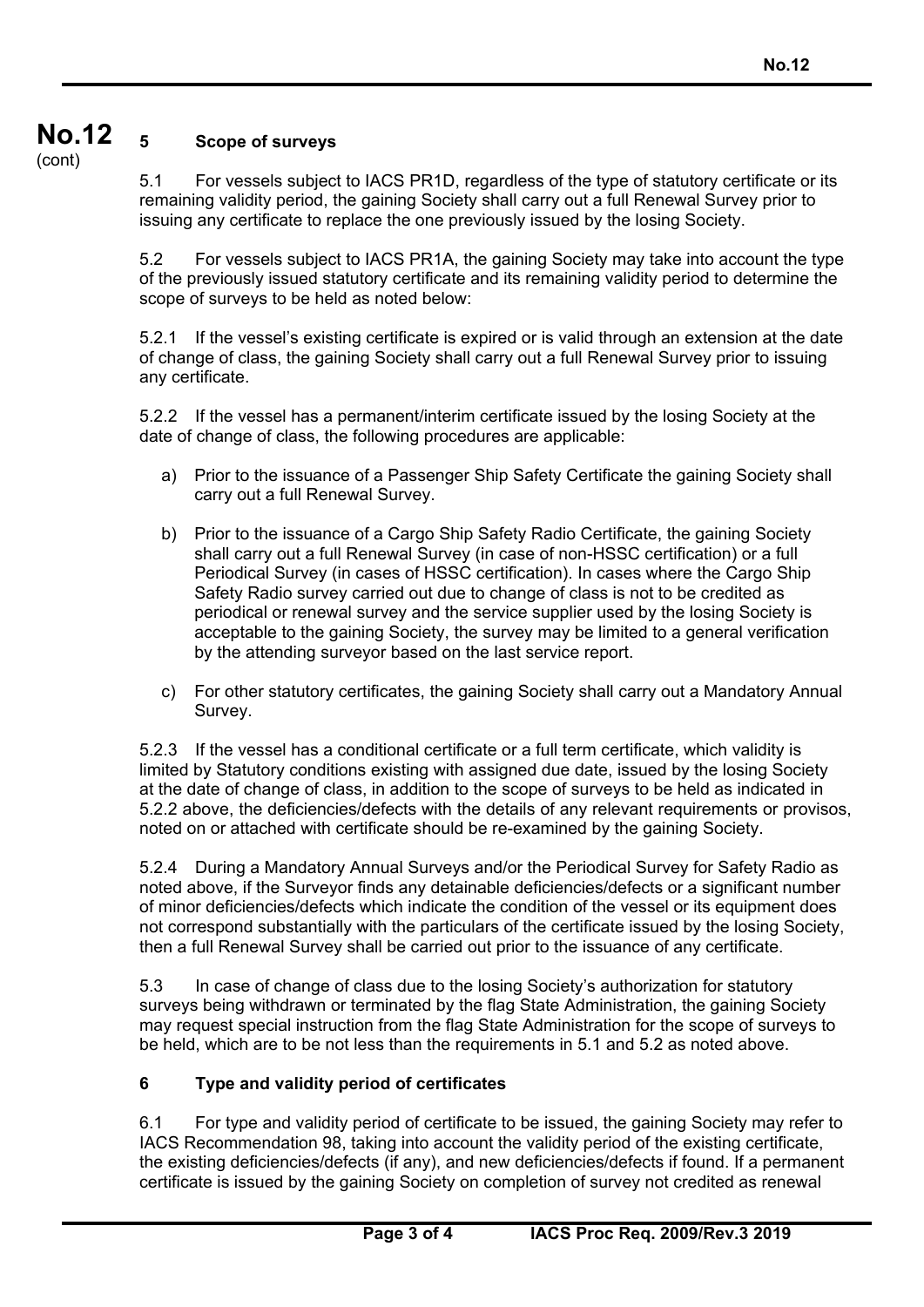#### **No.12**  (cont) **5 Scope of surveys**

5.1 For vessels subject to IACS PR1D, regardless of the type of statutory certificate or its remaining validity period, the gaining Society shall carry out a full Renewal Survey prior to issuing any certificate to replace the one previously issued by the losing Society.

5.2 For vessels subject to IACS PR1A, the gaining Society may take into account the type of the previously issued statutory certificate and its remaining validity period to determine the scope of surveys to be held as noted below:

5.2.1 If the vessel's existing certificate is expired or is valid through an extension at the date of change of class, the gaining Society shall carry out a full Renewal Survey prior to issuing any certificate.

5.2.2 If the vessel has a permanent/interim certificate issued by the losing Society at the date of change of class, the following procedures are applicable:

- a) Prior to the issuance of a Passenger Ship Safety Certificate the gaining Society shall carry out a full Renewal Survey.
- b) Prior to the issuance of a Cargo Ship Safety Radio Certificate, the gaining Society shall carry out a full Renewal Survey (in case of non-HSSC certification) or a full Periodical Survey (in cases of HSSC certification). In cases where the Cargo Ship Safety Radio survey carried out due to change of class is not to be credited as periodical or renewal survey and the service supplier used by the losing Society is acceptable to the gaining Society, the survey may be limited to a general verification by the attending surveyor based on the last service report.
- c) For other statutory certificates, the gaining Society shall carry out a Mandatory Annual Survey.

5.2.3 If the vessel has a conditional certificate or a full term certificate, which validity is limited by Statutory conditions existing with assigned due date, issued by the losing Society at the date of change of class, in addition to the scope of surveys to be held as indicated in 5.2.2 above, the deficiencies/defects with the details of any relevant requirements or provisos, noted on or attached with certificate should be re-examined by the gaining Society.

5.2.4 During a Mandatory Annual Surveys and/or the Periodical Survey for Safety Radio as noted above, if the Surveyor finds any detainable deficiencies/defects or a significant number of minor deficiencies/defects which indicate the condition of the vessel or its equipment does not correspond substantially with the particulars of the certificate issued by the losing Society, then a full Renewal Survey shall be carried out prior to the issuance of any certificate.

5.3 In case of change of class due to the losing Society's authorization for statutory surveys being withdrawn or terminated by the flag State Administration, the gaining Society may request special instruction from the flag State Administration for the scope of surveys to be held, which are to be not less than the requirements in 5.1 and 5.2 as noted above.

# **6 Type and validity period of certificates**

6.1 For type and validity period of certificate to be issued, the gaining Society may refer to IACS Recommendation 98, taking into account the validity period of the existing certificate, the existing deficiencies/defects (if any), and new deficiencies/defects if found. If a permanent certificate is issued by the gaining Society on completion of survey not credited as renewal